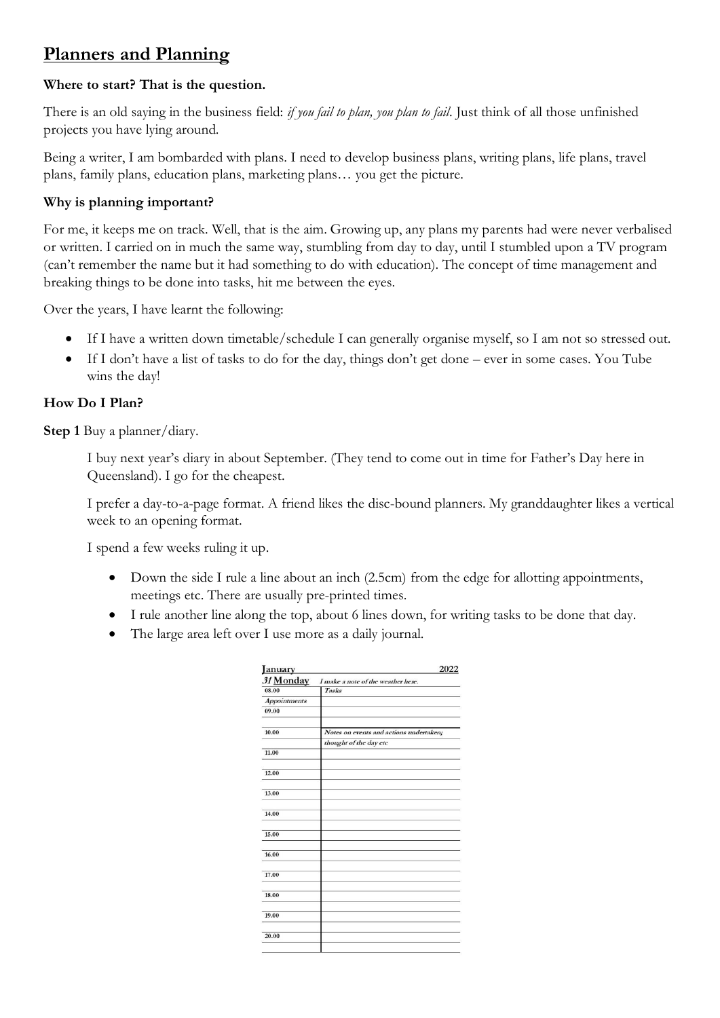# **Planners and Planning**

## **Where to start? That is the question.**

There is an old saying in the business field: *if you fail to plan, you plan to fail*. Just think of all those unfinished projects you have lying around.

Being a writer, I am bombarded with plans. I need to develop business plans, writing plans, life plans, travel plans, family plans, education plans, marketing plans… you get the picture.

## **Why is planning important?**

For me, it keeps me on track. Well, that is the aim. Growing up, any plans my parents had were never verbalised or written. I carried on in much the same way, stumbling from day to day, until I stumbled upon a TV program (can't remember the name but it had something to do with education). The concept of time management and breaking things to be done into tasks, hit me between the eyes.

Over the years, I have learnt the following:

- If I have a written down timetable/schedule I can generally organise myself, so I am not so stressed out.
- If I don't have a list of tasks to do for the day, things don't get done ever in some cases. You Tube wins the day!

### **How Do I Plan?**

**Step 1** Buy a planner/diary.

I buy next year's diary in about September. (They tend to come out in time for Father's Day here in Queensland). I go for the cheapest.

I prefer a day-to-a-page format. A friend likes the disc-bound planners. My granddaughter likes a vertical week to an opening format.

I spend a few weeks ruling it up.

- Down the side I rule a line about an inch (2.5cm) from the edge for allotting appointments, meetings etc. There are usually pre-printed times.
- I rule another line along the top, about 6 lines down, for writing tasks to be done that day.
- The large area left over I use more as a daily journal.

| January<br>31 Monday | I make a note of the weather here.      |
|----------------------|-----------------------------------------|
| 08.00                | Tasks                                   |
| <b>Appointments</b>  |                                         |
| 09.00                |                                         |
| 10.00                | Notes on events and actions undertaken; |
|                      | thought of the day etc                  |
| 11.00                |                                         |
| 12.00                |                                         |
| 13.00                |                                         |
| 14.00                |                                         |
| 15.00                |                                         |
| 16.00                |                                         |
| 17.00                |                                         |
| 18.00                |                                         |
| 19.00                |                                         |
| 20.00                |                                         |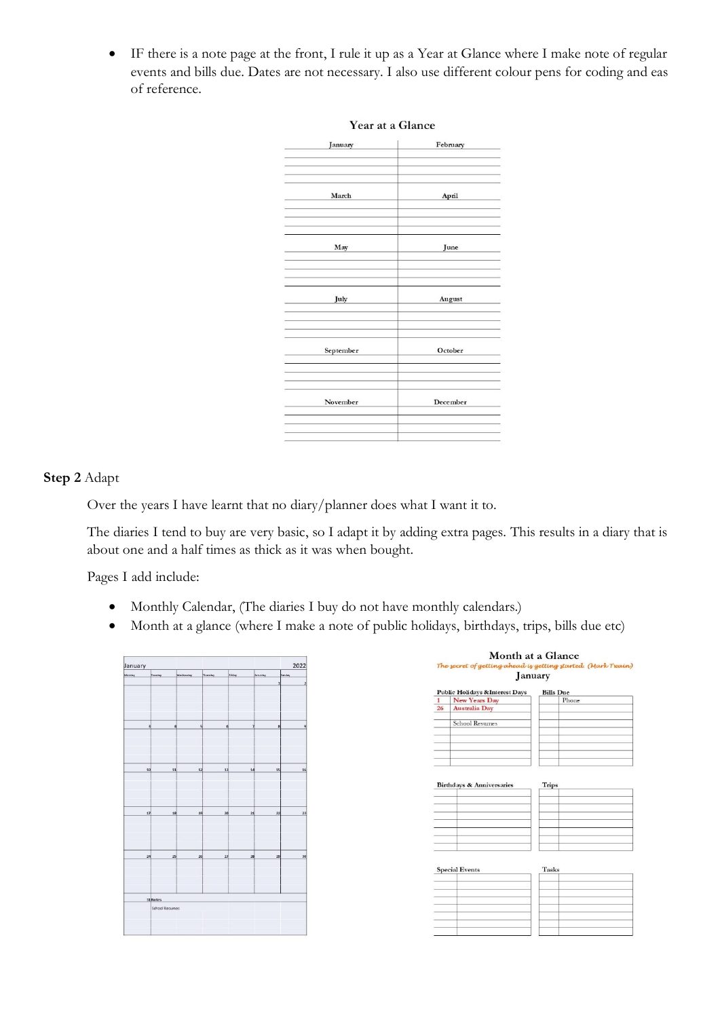• IF there is a note page at the front, I rule it up as a Year at Glance where I make note of regular events and bills due. Dates are not necessary. I also use different colour pens for coding and eas of reference.

| January   | February |
|-----------|----------|
| March     | April    |
| May       | June     |
| July      | August   |
| September | October  |
| November  | December |

#### Year at a Glance

#### **Step 2** Adapt

Over the years I have learnt that no diary/planner does what I want it to.

The diaries I tend to buy are very basic, so I adapt it by adding extra pages. This results in a diary that is about one and a half times as thick as it was when bought.

Pages I add include:

- Monthly Calendar, (The diaries I buy do not have monthly calendars.)
- Month at a glance (where I make a note of public holidays, birthdays, trips, bills due etc)

|                                             | 2022                           |
|---------------------------------------------|--------------------------------|
| Friday<br>Wednesday<br>Thursday<br>Saturday | <b>Sunday</b>                  |
|                                             | $\mathbf{1}$<br>$\overline{2}$ |
|                                             |                                |
|                                             |                                |
|                                             |                                |
|                                             |                                |
| s<br>$\mathbf{6}$<br>7                      | $\bf{8}$<br>$\overline{9}$     |
|                                             |                                |
|                                             |                                |
|                                             |                                |
|                                             |                                |
|                                             |                                |
| 12<br>13<br>14                              | 15<br>16                       |
|                                             |                                |
|                                             |                                |
|                                             |                                |
|                                             |                                |
| 19<br>20<br>$\overline{21}$                 | $\overline{\mathbf{z}}$<br>23  |
|                                             |                                |
|                                             |                                |
|                                             |                                |
|                                             |                                |
| 26<br>27<br>28                              | 29<br>30                       |
|                                             |                                |
|                                             |                                |
|                                             |                                |
|                                             |                                |
|                                             |                                |
|                                             |                                |
|                                             |                                |
|                                             |                                |

|    | January                              |                  |
|----|--------------------------------------|------------------|
|    | Public Holidays & Interest Days      | <b>Bills</b> Due |
| 1  | <b>New Years Day</b>                 | Phone            |
| 26 | <b>Australia Day</b>                 |                  |
|    | <b>School Resumes</b>                |                  |
|    |                                      |                  |
|    |                                      |                  |
|    |                                      |                  |
|    |                                      |                  |
|    | <b>Birthdays &amp; Anniversaries</b> | Trips            |
|    |                                      |                  |
|    |                                      |                  |
|    |                                      |                  |
|    |                                      |                  |
|    |                                      |                  |
|    |                                      |                  |
|    |                                      |                  |
|    |                                      |                  |
|    | <b>Special Events</b>                | Tasks            |
|    |                                      |                  |
|    |                                      |                  |
|    |                                      |                  |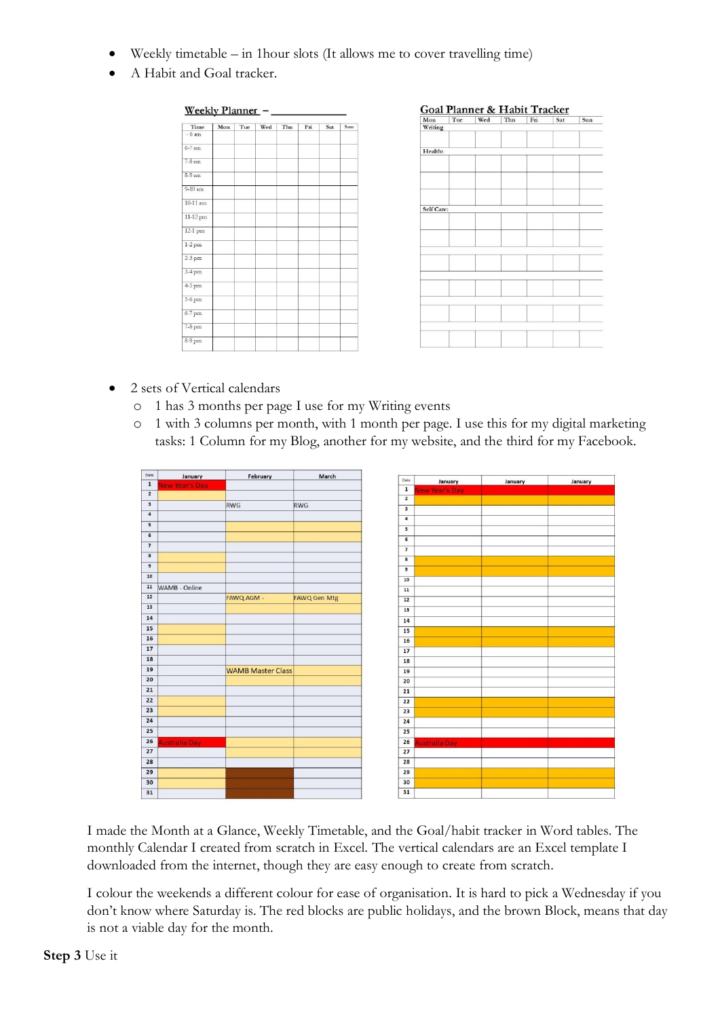- Weekly timetable  $-$  in 1 hour slots (It allows me to cover travelling time)
- A Habit and Goal tracker.



Goal Planner & Habit Tracker

| Mon<br>Writing | Tue | Wed | Thu | Fri | Sat | Sun |
|----------------|-----|-----|-----|-----|-----|-----|
|                |     |     |     |     |     |     |
|                |     |     |     |     |     |     |
|                |     |     |     |     |     |     |
| Health:        |     |     |     |     |     |     |
|                |     |     |     |     |     |     |
|                |     |     |     |     |     |     |
|                |     |     |     |     |     |     |
|                |     |     |     |     |     |     |
|                |     |     |     |     |     |     |
|                |     |     |     |     |     |     |
| Self Care:     |     |     |     |     |     |     |
|                |     |     |     |     |     |     |
|                |     |     |     |     |     |     |
|                |     |     |     |     |     |     |
|                |     |     |     |     |     |     |
|                |     |     |     |     |     |     |
|                |     |     |     |     |     |     |
|                |     |     |     |     |     |     |
|                |     |     |     |     |     |     |
|                |     |     |     |     |     |     |
|                |     |     |     |     |     |     |
|                |     |     |     |     |     |     |
|                |     |     |     |     |     |     |
|                |     |     |     |     |     |     |
|                |     |     |     |     |     |     |
|                |     |     |     |     |     |     |
|                |     |     |     |     |     |     |
|                |     |     |     |     |     |     |

- 2 sets of Vertical calendars
	- o 1 has 3 months per page I use for my Writing events
	- o 1 with 3 columns per month, with 1 month per page. I use this for my digital marketing tasks: 1 Column for my Blog, another for my website, and the third for my Facebook.

| Date                      | January               | February                 | March               |                         |                       |  |
|---------------------------|-----------------------|--------------------------|---------------------|-------------------------|-----------------------|--|
| $\mathbf 1$               | <b>New Year's Day</b> |                          |                     | Date                    | January               |  |
| $\overline{2}$            |                       |                          |                     | $\mathbf 1$             | <b>Jew Year's Day</b> |  |
| $\ensuremath{\mathsf{3}}$ |                       | RWG                      | RWG                 | $\overline{2}$          |                       |  |
| $\,$ 4 $\,$               |                       |                          |                     | $\overline{\mathbf{3}}$ |                       |  |
| $\overline{\mathbf{5}}$   |                       |                          |                     | $\overline{\mathbf{a}}$ |                       |  |
|                           |                       |                          |                     | 5                       |                       |  |
| $\mathbf{6}$              |                       |                          |                     | 6                       |                       |  |
| $\overline{\mathbf{z}}$   |                       |                          |                     | $\overline{7}$          |                       |  |
| $\bf{8}$                  |                       |                          |                     | $\overline{\mathbf{8}}$ |                       |  |
| $\mathbf{9}$              |                       |                          |                     | $\overline{9}$          |                       |  |
| 10                        |                       |                          |                     | 10                      |                       |  |
| ${\bf 11}$                | WAMB - Online         |                          |                     | 11                      |                       |  |
| 12                        |                       | FAWQ AGM -               | <b>FAWQ Gen Mtg</b> | 12                      |                       |  |
| 13                        |                       |                          |                     | 13                      |                       |  |
| 14                        |                       |                          |                     | 14                      |                       |  |
| 15                        |                       |                          |                     | 15                      |                       |  |
| 16                        |                       |                          |                     | 16                      |                       |  |
| 17                        |                       |                          |                     | 17                      |                       |  |
| 18                        |                       |                          |                     |                         |                       |  |
| 19                        |                       | <b>WAMB Master Class</b> |                     | 18                      |                       |  |
| 20                        |                       |                          |                     | 19                      |                       |  |
|                           |                       |                          |                     | 20                      |                       |  |
| 21                        |                       |                          |                     | 21                      |                       |  |
| 22                        |                       |                          |                     | 22                      |                       |  |
| 23                        |                       |                          |                     | 23                      |                       |  |
| 24                        |                       |                          |                     | 24                      |                       |  |
| 25                        |                       |                          |                     | 25                      |                       |  |
| 26                        | <b>Australia Day</b>  |                          |                     | 26                      | <b>Australia Day</b>  |  |
| 27                        |                       |                          |                     | 27                      |                       |  |
| 28                        |                       |                          |                     | 28                      |                       |  |
| 29                        |                       |                          |                     | 29                      |                       |  |
| 30                        |                       |                          |                     | 30                      |                       |  |
| 31                        |                       |                          |                     | 31                      |                       |  |

I made the Month at a Glance, Weekly Timetable, and the Goal/habit tracker in Word tables. The monthly Calendar I created from scratch in Excel. The vertical calendars are an Excel template I downloaded from the internet, though they are easy enough to create from scratch.

I colour the weekends a different colour for ease of organisation. It is hard to pick a Wednesday if you don't know where Saturday is. The red blocks are public holidays, and the brown Block, means that day is not a viable day for the month.